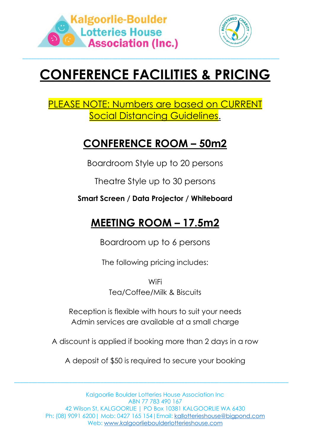



# **CONFERENCE FACILITIES & PRICING**

\_\_\_\_\_\_\_\_\_\_\_\_\_\_\_\_\_\_\_\_\_\_\_\_\_\_\_\_\_\_\_\_\_\_\_\_\_\_\_\_\_\_\_\_\_\_\_\_\_\_\_\_\_\_\_\_\_\_\_\_\_\_\_\_\_\_\_\_\_\_\_\_\_\_\_\_\_\_\_\_\_\_\_\_\_\_\_\_\_

### PLEASE NOTE: Numbers are based on CURRENT Social Distancing Guidelines.

### **CONFERENCE ROOM – 50m2**

Boardroom Style up to 20 persons

Theatre Style up to 30 persons

**Smart Screen / Data Projector / Whiteboard** 

## **MEETING ROOM – 17.5m2**

Boardroom up to 6 persons

The following pricing includes:

**WiFi** Tea/Coffee/Milk & Biscuits

Reception is flexible with hours to suit your needs Admin services are available at a small charge

A discount is applied if booking more than 2 days in a row

A deposit of \$50 is required to secure your booking

\_\_\_\_\_\_\_\_\_\_\_\_\_\_\_\_\_\_\_\_\_\_\_\_\_\_\_\_\_\_\_\_\_\_\_\_\_\_\_\_\_\_\_\_\_\_\_\_\_\_\_\_\_\_\_\_\_\_\_\_\_\_\_\_\_\_\_\_\_\_\_\_\_\_\_\_\_\_\_\_\_\_\_\_\_\_\_\_\_\_\_\_\_\_\_

Kalgoorlie Boulder Lotteries House Association Inc ABN 77 783 490 167 42 Wilson St, KALGOORLIE | PO Box 10381 KALGOORLIE WA 6430 Ph: (08) 9091 6200| Mob: 0427 165 154|Email: [kallotterieshouse@bigpond.com](mailto:kallotterieshouse@bigpond.com) Web: www.kalgoorlieboulderlotterieshouse.com